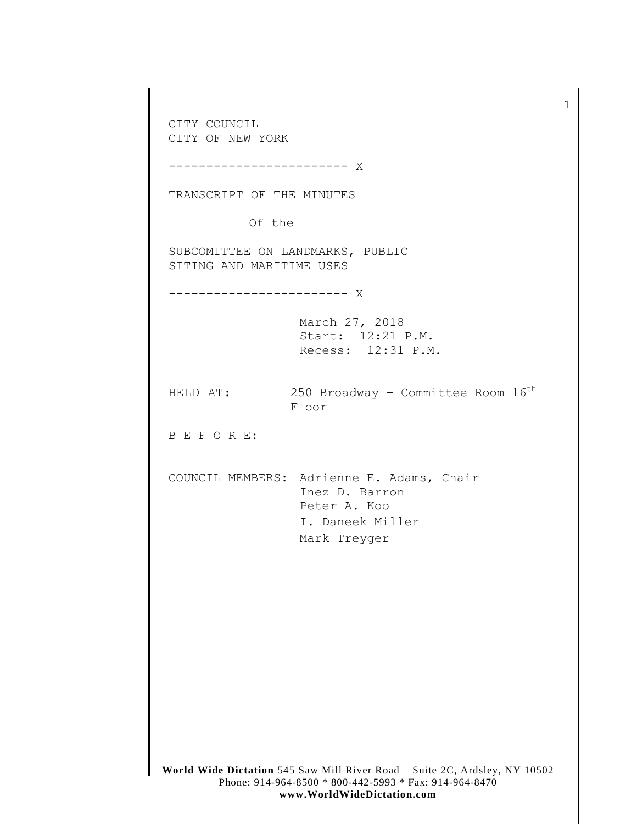**World Wide Dictation** 545 Saw Mill River Road – Suite 2C, Ardsley, NY 10502 Phone: 914-964-8500 \* 800-442-5993 \* Fax: 914-964-8470 CITY COUNCIL CITY OF NEW YORK ------------------------ X TRANSCRIPT OF THE MINUTES Of the SUBCOMITTEE ON LANDMARKS, PUBLIC SITING AND MARITIME USES ------------------------ X March 27, 2018 Start: 12:21 P.M. Recess: 12:31 P.M. HELD AT:  $250$  Broadway - Committee Room  $16^{th}$ Floor B E F O R E: COUNCIL MEMBERS: Adrienne E. Adams, Chair Inez D. Barron Peter A. Koo I. Daneek Miller Mark Treyger

1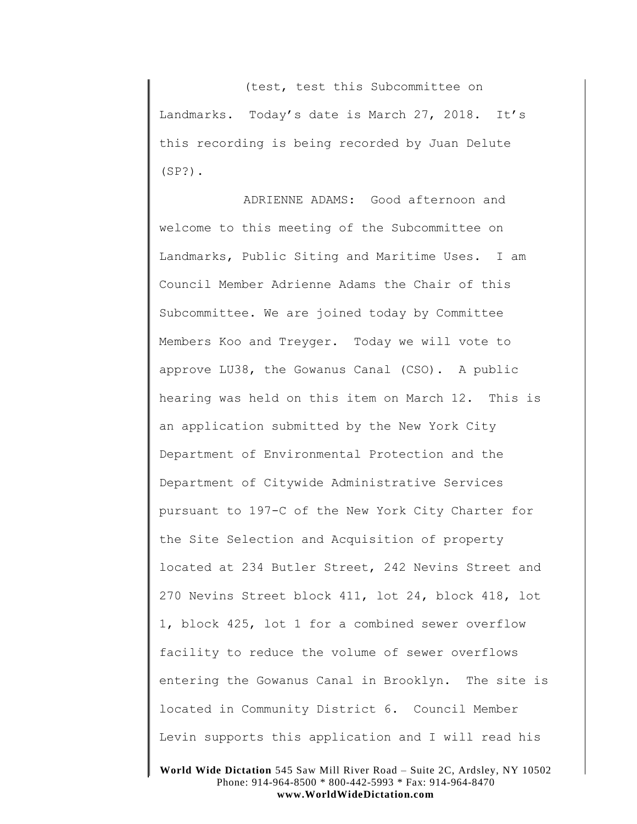(test, test this Subcommittee on Landmarks. Today's date is March 27, 2018. It's this recording is being recorded by Juan Delute (SP?).

ADRIENNE ADAMS: Good afternoon and welcome to this meeting of the Subcommittee on Landmarks, Public Siting and Maritime Uses. I am Council Member Adrienne Adams the Chair of this Subcommittee. We are joined today by Committee Members Koo and Treyger. Today we will vote to approve LU38, the Gowanus Canal (CSO). A public hearing was held on this item on March 12. This is an application submitted by the New York City Department of Environmental Protection and the Department of Citywide Administrative Services pursuant to 197-C of the New York City Charter for the Site Selection and Acquisition of property located at 234 Butler Street, 242 Nevins Street and 270 Nevins Street block 411, lot 24, block 418, lot 1, block 425, lot 1 for a combined sewer overflow facility to reduce the volume of sewer overflows entering the Gowanus Canal in Brooklyn. The site is located in Community District 6. Council Member Levin supports this application and I will read his

**World Wide Dictation** 545 Saw Mill River Road – Suite 2C, Ardsley, NY 10502 Phone: 914-964-8500 \* 800-442-5993 \* Fax: 914-964-8470 **www.WorldWideDictation.com**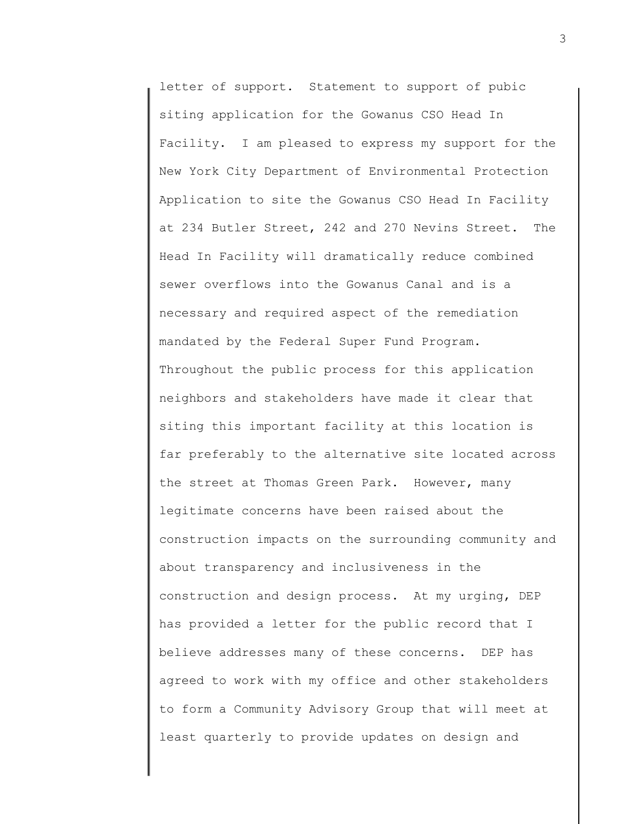letter of support. Statement to support of pubic siting application for the Gowanus CSO Head In Facility. I am pleased to express my support for the New York City Department of Environmental Protection Application to site the Gowanus CSO Head In Facility at 234 Butler Street, 242 and 270 Nevins Street. The Head In Facility will dramatically reduce combined sewer overflows into the Gowanus Canal and is a necessary and required aspect of the remediation mandated by the Federal Super Fund Program. Throughout the public process for this application neighbors and stakeholders have made it clear that siting this important facility at this location is far preferably to the alternative site located across the street at Thomas Green Park. However, many legitimate concerns have been raised about the construction impacts on the surrounding community and about transparency and inclusiveness in the construction and design process. At my urging, DEP has provided a letter for the public record that I believe addresses many of these concerns. DEP has agreed to work with my office and other stakeholders to form a Community Advisory Group that will meet at least quarterly to provide updates on design and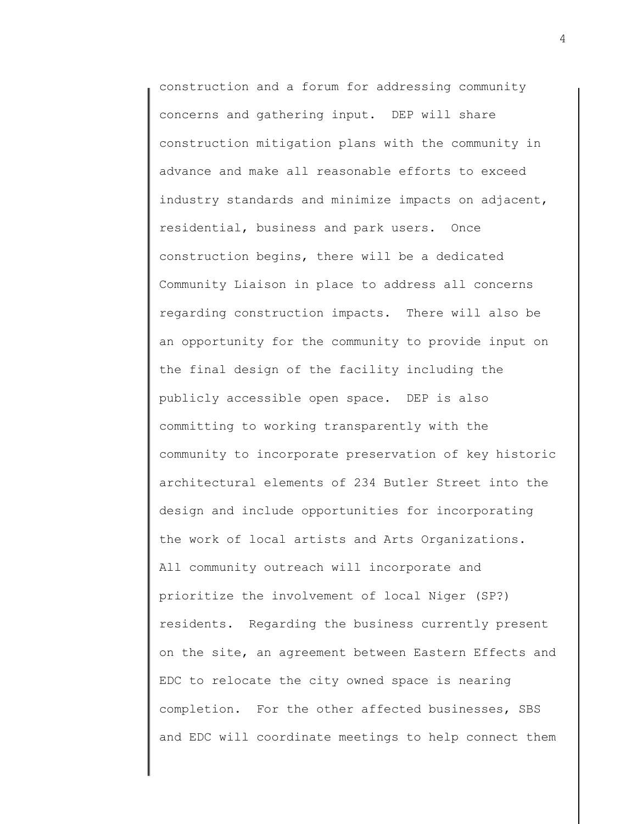construction and a forum for addressing community concerns and gathering input. DEP will share construction mitigation plans with the community in advance and make all reasonable efforts to exceed industry standards and minimize impacts on adjacent, residential, business and park users. Once construction begins, there will be a dedicated Community Liaison in place to address all concerns regarding construction impacts. There will also be an opportunity for the community to provide input on the final design of the facility including the publicly accessible open space. DEP is also committing to working transparently with the community to incorporate preservation of key historic architectural elements of 234 Butler Street into the design and include opportunities for incorporating the work of local artists and Arts Organizations. All community outreach will incorporate and prioritize the involvement of local Niger (SP?) residents. Regarding the business currently present on the site, an agreement between Eastern Effects and EDC to relocate the city owned space is nearing completion. For the other affected businesses, SBS and EDC will coordinate meetings to help connect them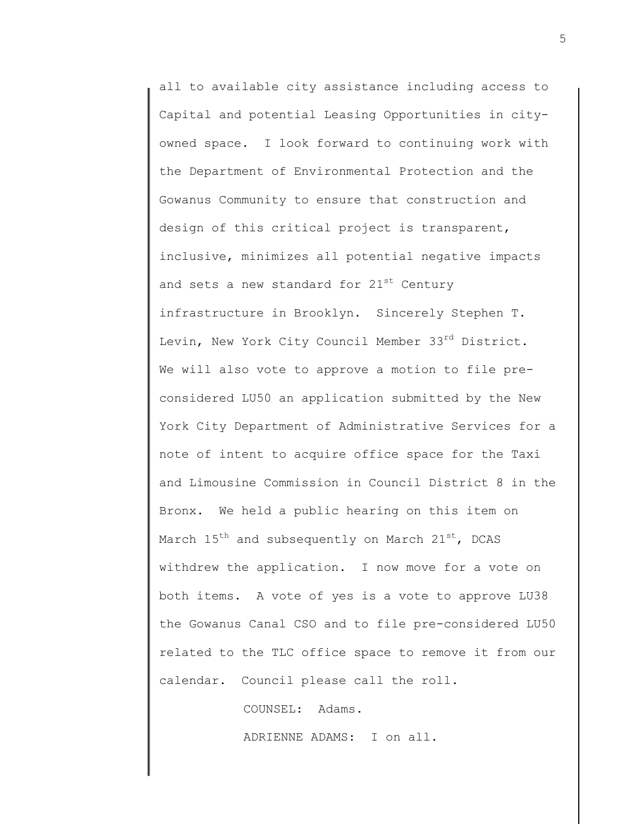all to available city assistance including access to Capital and potential Leasing Opportunities in cityowned space. I look forward to continuing work with the Department of Environmental Protection and the Gowanus Community to ensure that construction and design of this critical project is transparent, inclusive, minimizes all potential negative impacts and sets a new standard for  $21^{st}$  Century infrastructure in Brooklyn. Sincerely Stephen T. Levin, New York City Council Member 33rd District. We will also vote to approve a motion to file preconsidered LU50 an application submitted by the New York City Department of Administrative Services for a note of intent to acquire office space for the Taxi and Limousine Commission in Council District 8 in the Bronx. We held a public hearing on this item on March  $15^{th}$  and subsequently on March  $21^{st}$ , DCAS withdrew the application. I now move for a vote on both items. A vote of yes is a vote to approve LU38 the Gowanus Canal CSO and to file pre-considered LU50 related to the TLC office space to remove it from our calendar. Council please call the roll.

COUNSEL: Adams.

ADRIENNE ADAMS: I on all.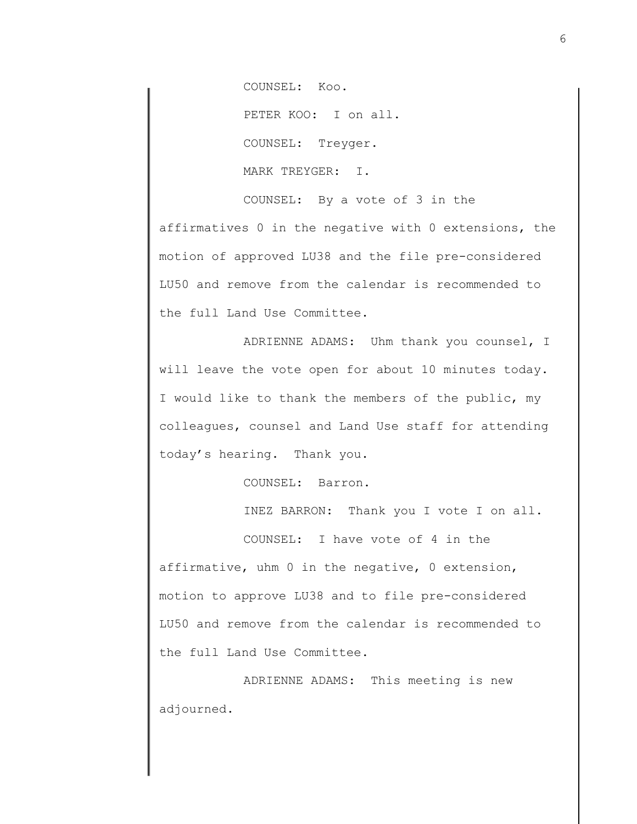COUNSEL: Koo.

PETER KOO: I on all.

COUNSEL: Treyger.

MARK TREYGER: I.

COUNSEL: By a vote of 3 in the affirmatives 0 in the negative with 0 extensions, the motion of approved LU38 and the file pre-considered LU50 and remove from the calendar is recommended to the full Land Use Committee.

ADRIENNE ADAMS: Uhm thank you counsel, I will leave the vote open for about 10 minutes today. I would like to thank the members of the public, my colleagues, counsel and Land Use staff for attending today's hearing. Thank you.

COUNSEL: Barron.

INEZ BARRON: Thank you I vote I on all.

COUNSEL: I have vote of 4 in the affirmative, uhm 0 in the negative, 0 extension, motion to approve LU38 and to file pre-considered LU50 and remove from the calendar is recommended to the full Land Use Committee.

ADRIENNE ADAMS: This meeting is new adjourned.